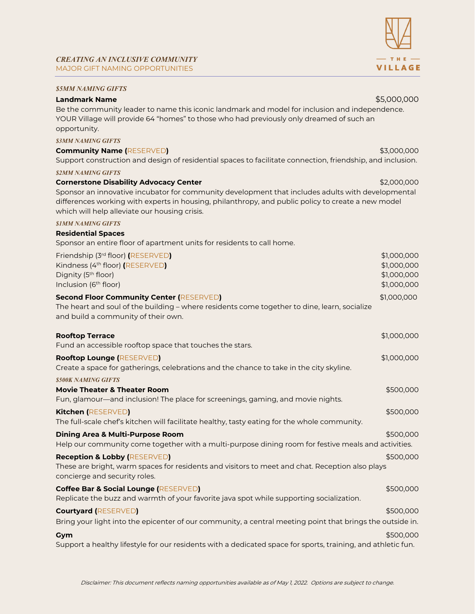# *CREATING AN INCLUSIVE COMMUNITY* MAJOR GIFT NAMING OPPORTUNITIES

## *\$5MM NAMING GIFTS*

## **Landmark Name** \$5,000,000

Be the community leader to name this iconic landmark and model for inclusion and independence. YOUR Village will provide 64 "homes" to those who had previously only dreamed of such an opportunity.

*\$3MM NAMING GIFTS* 

### **Community Name (**RESERVED**)** \$3,000,000

Support construction and design of residential spaces to facilitate connection, friendship, and inclusion.

#### *\$2MM NAMING GIFTS*

## **Cornerstone Disability Advocacy Center**  $\blacksquare$  **Example 2000,000**  $\blacksquare$  \$2,000,000

Sponsor an innovative incubator for community development that includes adults with developmental differences working with experts in housing, philanthropy, and public policy to create a new model which will help alleviate our housing crisis.

#### *\$1MM NAMING GIFTS*

### **Residential Spaces**

Sponsor an entire floor of apartment units for residents to call home.

| Friendship (3rd floor) (RESERVED)<br>Kindness (4th floor) (RESERVED)<br>Dignity (5 <sup>th</sup> floor)<br>Inclusion (6 <sup>th</sup> floor)                                           | \$1,000,000<br>\$1,000,000<br>\$1,000,000<br>\$1,000,000 |
|----------------------------------------------------------------------------------------------------------------------------------------------------------------------------------------|----------------------------------------------------------|
| <b>Second Floor Community Center (RESERVED)</b><br>The heart and soul of the building - where residents come together to dine, learn, socialize<br>and build a community of their own. | \$1,000,000                                              |
| <b>Rooftop Terrace</b><br>Fund an accessible rooftop space that touches the stars.                                                                                                     | \$1,000,000                                              |
| <b>Rooftop Lounge (RESERVED)</b><br>Create a space for gatherings, celebrations and the chance to take in the city skyline.                                                            | \$1,000,000                                              |
| <b>\$500K NAMING GIFTS</b><br><b>Movie Theater &amp; Theater Room</b><br>Fun, glamour—and inclusion! The place for screenings, gaming, and movie nights.                               | \$500,000                                                |
| Kitchen (RESERVED)<br>The full-scale chef's kitchen will facilitate healthy, tasty eating for the whole community.                                                                     | \$500,000                                                |
| <b>Dining Area &amp; Multi-Purpose Room</b><br>Help our community come together with a multi-purpose dining room for festive meals and activities.                                     | \$500,000                                                |
| <b>Reception &amp; Lobby (RESERVED)</b><br>These are bright, warm spaces for residents and visitors to meet and chat. Reception also plays<br>concierge and security roles.            | \$500,000                                                |
| Coffee Bar & Social Lounge (RESERVED)<br>Replicate the buzz and warmth of your favorite java spot while supporting socialization.                                                      | \$500,000                                                |
| <b>Courtyard (RESERVED)</b><br>Bring your light into the epicenter of our community, a central meeting point that brings the outside in.                                               | \$500,000                                                |
| Gym<br>Support a healthy lifestyle for our residents with a dedicated space for sports, training, and athletic fun.                                                                    | \$500,000                                                |